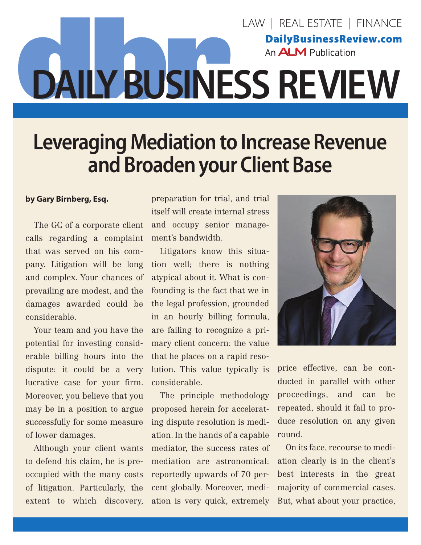## LAW | REAL ESTATE | FINANCE **DailyBusinessReview.com** An **ALM** Publication **DAILY BUSINESS REVIEW**

## **Leveraging Mediation to Increase Revenue and Broaden your Client Base**

## **by Gary Birnberg, Esq.**

The GC of a corporate client calls regarding a complaint that was served on his company. Litigation will be long and complex. Your chances of prevailing are modest, and the damages awarded could be considerable.

Your team and you have the potential for investing considerable billing hours into the dispute: it could be a very lucrative case for your firm. Moreover, you believe that you may be in a position to argue successfully for some measure of lower damages.

Although your client wants to defend his claim, he is preoccupied with the many costs of litigation. Particularly, the extent to which discovery,

preparation for trial, and trial itself will create internal stress and occupy senior management's bandwidth.

Litigators know this situation well; there is nothing atypical about it. What is confounding is the fact that we in the legal profession, grounded in an hourly billing formula, are failing to recognize a primary client concern: the value that he places on a rapid resolution. This value typically is considerable.

The principle methodology proposed herein for accelerating dispute resolution is mediation. In the hands of a capable mediator, the success rates of mediation are astronomical: reportedly upwards of 70 percent globally. Moreover, mediation is very quick, extremely



price effective, can be conducted in parallel with other proceedings, and can be repeated, should it fail to produce resolution on any given round.

On its face, recourse to mediation clearly is in the client's best interests in the great majority of commercial cases. But, what about your practice,